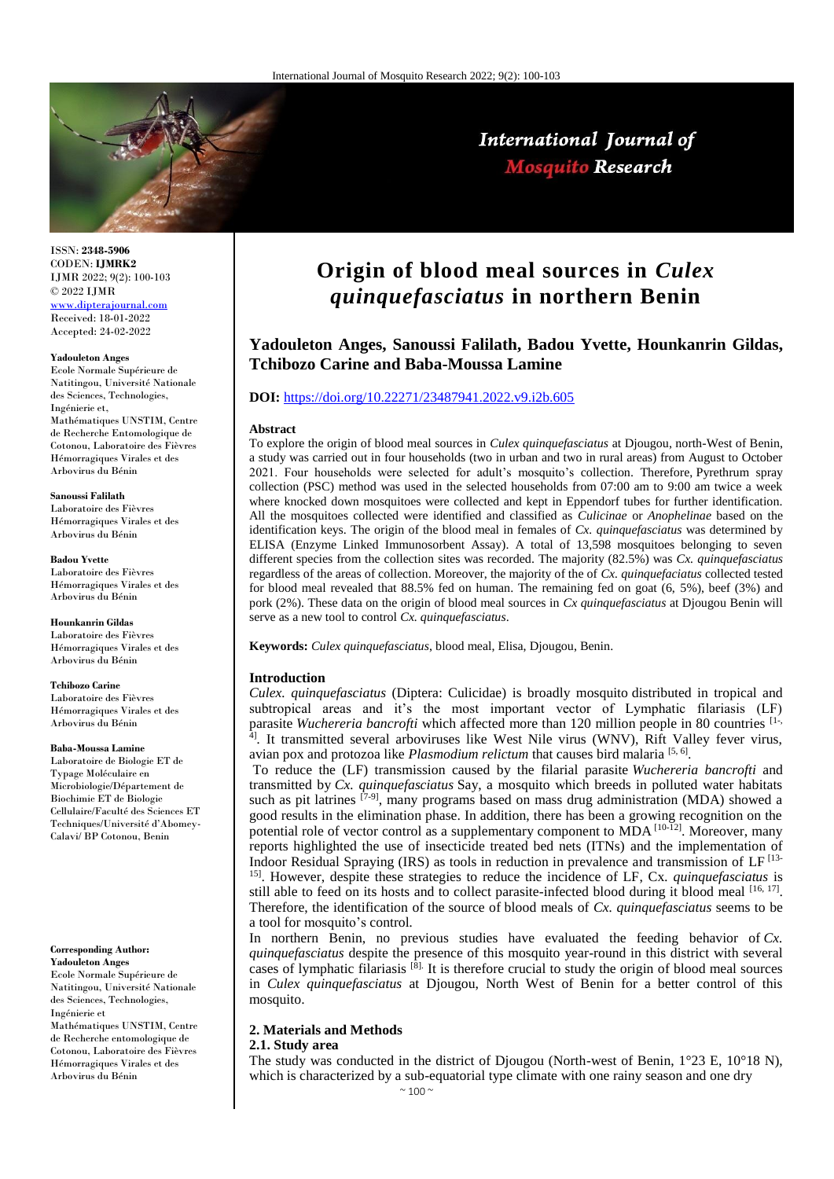

ISSN: **2348-5906** CODEN: **IJMRK2** IJMR 2022; 9(2): 100-103 © 2022 IJMR [www.dipterajournal.com](file://server/d/Mosquito/Issue/8%20Volume/www.dipterajournal.com)

Received: 18-01-2022 Accepted: 24-02-2022

#### **Yadouleton Anges**

Ecole Normale Supérieure de Natitingou, Université Nationale des Sciences, Technologies, Ingénierie et, Mathématiques UNSTIM, Centre de Recherche Entomologique de Cotonou, Laboratoire des Fièvres Hémorragiques Virales et des Arbovirus du Bénin

**Sanoussi Falilath** Laboratoire des Fièvres Hémorragiques Virales et des Arbovirus du Bénin

**Badou Yvette** Laboratoire des Fièvres Hémorragiques Virales et des Arbovirus du Bénin

**Hounkanrin Gildas** Laboratoire des Fièvres Hémorragiques Virales et des Arbovirus du Bénin

**Tchibozo Carine** Laboratoire des Fièvres Hémorragiques Virales et des Arbovirus du Bénin

**Baba-Moussa Lamine** Laboratoire de Biologie ET de Typage Moléculaire en Microbiologie/Département de Biochimie ET de Biologie

Cellulaire/Faculté des Sciences ET Techniques/Université d'Abomey-Calavi/ BP Cotonou, Benin

**Corresponding Author: Yadouleton Anges** Ecole Normale Supérieure de

Natitingou, Université Nationale des Sciences, Technologies, Ingénierie et Mathématiques UNSTIM, Centre

de Recherche entomologique de Cotonou, Laboratoire des Fièvres Hémorragiques Virales et des Arbovirus du Bénin

# **Origin of blood meal sources in** *Culex quinquefasciatus* **in northern Benin**

International Journal of **Mosquito Research** 

# **Yadouleton Anges, Sanoussi Falilath, Badou Yvette, Hounkanrin Gildas, Tchibozo Carine and Baba-Moussa Lamine**

#### **DOI:** <https://doi.org/10.22271/23487941.2022.v9.i2b.605>

#### **Abstract**

To explore the origin of blood meal sources in *Culex quinquefasciatus* at Djougou, north-West of Benin, a study was carried out in four households (two in urban and two in rural areas) from August to October 2021. Four households were selected for adult's mosquito's collection. Therefore, Pyrethrum spray collection (PSC) method was used in the selected households from 07:00 am to 9:00 am twice a week where knocked down mosquitoes were collected and kept in Eppendorf tubes for further identification. All the mosquitoes collected were identified and classified as *Culicinae* or *Anophelinae* based on the identification keys. The origin of the blood meal in females of *Cx. quinquefasciatus* was determined by ELISA (Enzyme Linked Immunosorbent Assay). A total of 13,598 mosquitoes belonging to seven different species from the collection sites was recorded. The majority (82.5%) was *Cx. quinquefasciatus* regardless of the areas of collection. Moreover, the majority of the of *Cx. quinquefaciatus* collected tested for blood meal revealed that 88.5% fed on human. The remaining fed on goat (6, 5%), beef (3%) and pork (2%). These data on the origin of blood meal sources in *Cx quinquefasciatus* at Djougou Benin will serve as a new tool to control *Cx. quinquefasciatus*.

**Keywords:** *Culex quinquefasciatus*, blood meal, Elisa, Djougou, Benin.

#### **Introduction**

*Culex. quinquefasciatus* (Diptera: Culicidae) is broadly mosquito distributed in tropical and subtropical areas and it's the most important vector of Lymphatic filariasis (LF) parasite *Wuchereria bancrofti* which affected more than 120 million people in 80 countries <sup>[1-,</sup> <sup>4</sup>. It transmitted several arboviruses like West Nile virus (WNV), Rift Valley fever virus, avian pox and protozoa like *Plasmodium relictum* that causes bird malaria [5,6].

To reduce the (LF) transmission caused by the filarial parasite *Wuchereria bancrofti* and transmitted by *Cx. quinquefasciatus* Say, a mosquito which breeds in polluted water habitats such as pit latrines  $[7-9]$ , many programs based on mass drug administration (MDA) showed a good results in the elimination phase. In addition, there has been a growing recognition on the potential role of vector control as a supplementary component to  $MDA$ <sup>[10-12]</sup>. Moreover, many reports highlighted the use of insecticide treated bed nets (ITNs) and the implementation of Indoor Residual Spraying (IRS) as tools in reduction in prevalence and transmission of LF [13- 15]. However, despite these strategies to reduce the incidence of LF, Cx*. quinquefasciatus* is still able to feed on its hosts and to collect parasite-infected blood during it blood meal  $[16, 17]$ . Therefore, the identification of the source of blood meals of *Cx. quinquefasciatus* seems to be a tool for mosquito's control*.*

In northern Benin, no previous studies have evaluated the feeding behavior of *Cx. quinquefasciatus* despite the presence of this mosquito year-round in this district with several cases of lymphatic filariasis  $^{[8]}$ . It is therefore crucial to study the origin of blood meal sources in *Culex quinquefasciatus* at Djougou, North West of Benin for a better control of this mosquito.

# **2. Materials and Methods**

# **2.1. Study area**

The study was conducted in the district of Djougou (North-west of Benin, 1°23 E, 10°18 N), which is characterized by a sub-equatorial type climate with one rainy season and one dry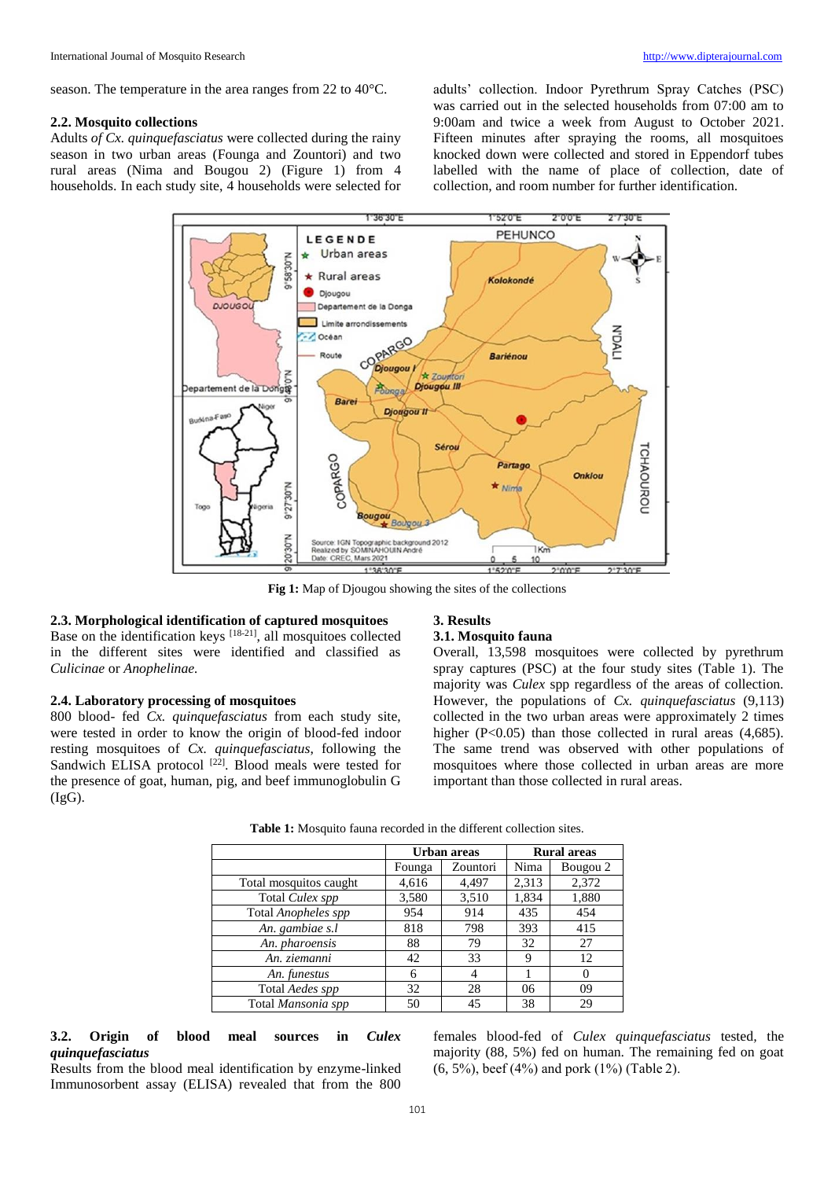season. The temperature in the area ranges from 22 to 40°C.

#### **2.2. Mosquito collections**

Adults *of Cx. quinquefasciatus* were collected during the rainy season in two urban areas (Founga and Zountori) and two rural areas (Nima and Bougou 2) (Figure 1) from 4 households. In each study site, 4 households were selected for adults' collection. Indoor Pyrethrum Spray Catches (PSC) was carried out in the selected households from 07:00 am to 9:00am and twice a week from August to October 2021. Fifteen minutes after spraying the rooms, all mosquitoes knocked down were collected and stored in Eppendorf tubes labelled with the name of place of collection, date of collection, and room number for further identification.



**Fig 1:** Map of Djougou showing the sites of the collections

# **2.3. Morphological identification of captured mosquitoes**

Base on the identification keys [18-21], all mosquitoes collected in the different sites were identified and classified as *Culicinae* or *Anophelinae.*

# **2.4. Laboratory processing of mosquitoes**

800 blood- fed *Cx. quinquefasciatus* from each study site, were tested in order to know the origin of blood-fed indoor resting mosquitoes of *Cx. quinquefasciatus*, following the Sandwich ELISA protocol<sup>[22]</sup>. Blood meals were tested for the presence of goat, human, pig, and beef immunoglobulin G  $(IgG)$ .

#### **3. Results**

### **3.1. Mosquito fauna**

Overall, 13,598 mosquitoes were collected by pyrethrum spray captures (PSC) at the four study sites (Table 1). The majority was *Culex* spp regardless of the areas of collection. However, the populations of *Cx. quinquefasciatus* (9,113) collected in the two urban areas were approximately 2 times higher (P<0.05) than those collected in rural areas (4,685). The same trend was observed with other populations of mosquitoes where those collected in urban areas are more important than those collected in rural areas.

|                        |        | Urban areas | <b>Rural areas</b> |          |  |
|------------------------|--------|-------------|--------------------|----------|--|
|                        | Founga | Zountori    | Nima               | Bougou 2 |  |
| Total mosquitos caught | 4,616  | 4,497       | 2,313              | 2,372    |  |
| Total Culex spp        | 3,580  | 3,510       | 1,834              | 1,880    |  |
| Total Anopheles spp    | 954    | 914         | 435                | 454      |  |
| An. gambiae s.l        | 818    | 798         | 393                | 415      |  |
| An. pharoensis         | 88     | 79          | 32                 | 27       |  |
| An. ziemanni           | 42     | 33          | 9                  | 12       |  |
| An. funestus           | 6      |             |                    | 0        |  |
| Total Aedes spp        | 32     | 28          | 06                 | 09       |  |
| Total Mansonia spp     | 50     | 45          | 38                 | 29       |  |

**Table 1:** Mosquito fauna recorded in the different collection sites.

# **3.2. Origin of blood meal sources in** *Culex quinquefasciatus*

Results from the blood meal identification by enzyme-linked Immunosorbent assay (ELISA) revealed that from the 800

females blood-fed of *Culex quinquefasciatus* tested*,* the majority (88, 5%) fed on human. The remaining fed on goat (6, 5%), beef (4%) and pork (1%) (Table 2).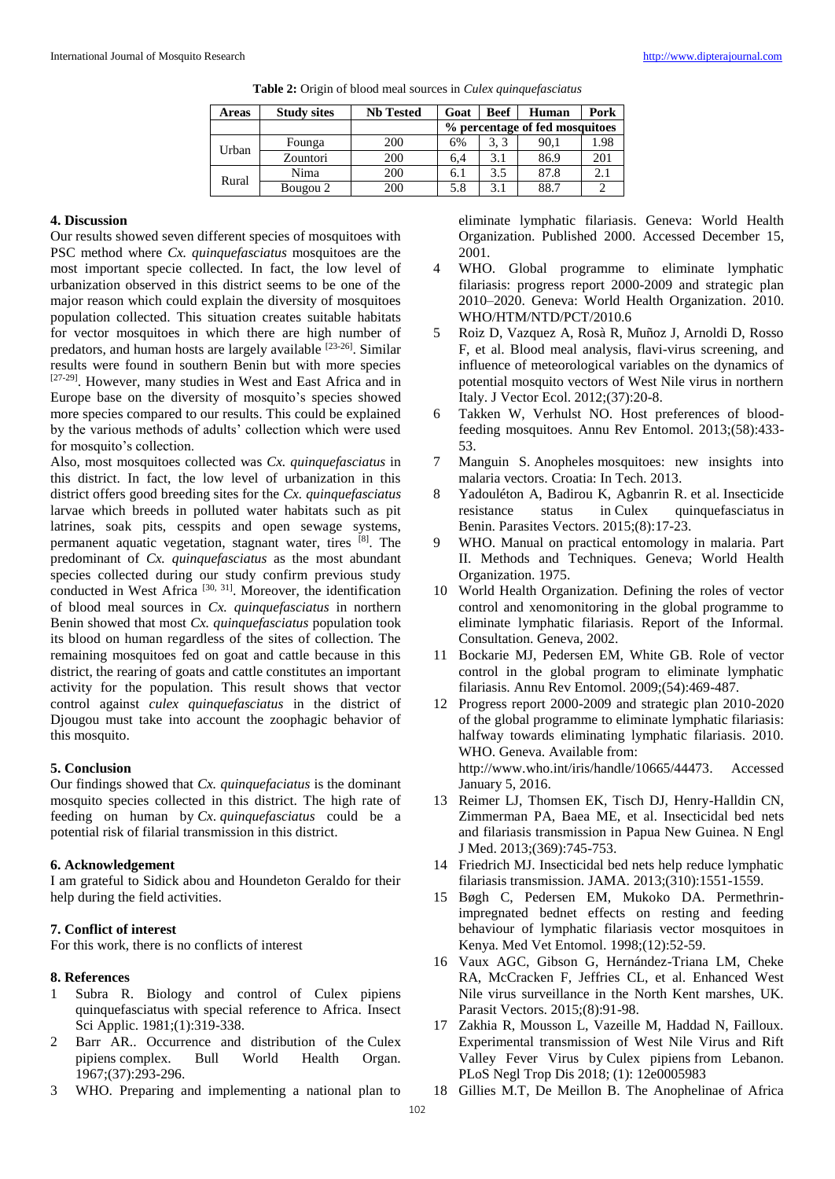| Areas | <b>Study sites</b> | <b>Nb Tested</b> | Goat                           | <b>Beef</b> | Human | Pork |
|-------|--------------------|------------------|--------------------------------|-------------|-------|------|
|       |                    |                  | % percentage of fed mosquitoes |             |       |      |
| Urban | Founga             | 200              | 6%                             | 3.3         | 90,1  | 1.98 |
|       | Zountori           | 200              | 6.4                            | 3.1         | 86.9  | 201  |
| Rural | Nima               | 200              | 6.1                            | 3.5         | 87.8  | 2.1  |
|       | Bougou 2           | 200              | 5.8                            | 3.1         | 88.7  |      |

| <b>Table 2:</b> Origin of blood meal sources in <i>Culex quinquefasciatus</i> |  |  |
|-------------------------------------------------------------------------------|--|--|
|-------------------------------------------------------------------------------|--|--|

#### **4. Discussion**

Our results showed seven different species of mosquitoes with PSC method where *Cx. quinquefasciatus* mosquitoes are the most important specie collected. In fact, the low level of urbanization observed in this district seems to be one of the major reason which could explain the diversity of mosquitoes population collected. This situation creates suitable habitats for vector mosquitoes in which there are high number of predators, and human hosts are largely available [23-26]. Similar results were found in southern Benin but with more species [27-29]. However, many studies in West and East Africa and in Europe base on the diversity of mosquito's species showed more species compared to our results. This could be explained by the various methods of adults' collection which were used for mosquito's collection.

Also, most mosquitoes collected was *Cx. quinquefasciatus* in this district. In fact, the low level of urbanization in this district offers good breeding sites for the *Cx. quinquefasciatus* larvae which breeds in polluted water habitats such as pit latrines, soak pits, cesspits and open sewage systems, permanent aquatic vegetation, stagnant water, tires [8]. The predominant of *Cx. quinquefasciatus* as the most abundant species collected during our study confirm previous study conducted in West Africa [30, 31]. Moreover, the identification of blood meal sources in *Cx. quinquefasciatus* in northern Benin showed that most *Cx. quinquefasciatus* population took its blood on human regardless of the sites of collection. The remaining mosquitoes fed on goat and cattle because in this district, the rearing of goats and cattle constitutes an important activity for the population. This result shows that vector control against *culex quinquefasciatus* in the district of Djougou must take into account the zoophagic behavior of this mosquito.

#### **5. Conclusion**

Our findings showed that *Cx. quinquefaciatus* is the dominant mosquito species collected in this district. The high rate of feeding on human by *Cx*. *quinquefasciatus* could be a potential risk of filarial transmission in this district.

## **6. Acknowledgement**

I am grateful to Sidick abou and Houndeton Geraldo for their help during the field activities.

## **7. Conflict of interest**

For this work, there is no conflicts of interest

## **8. References**

- 1 Subra R. Biology and control of Culex pipiens quinquefasciatus with special reference to Africa. Insect Sci Applic. 1981;(1):319-338.
- 2 Barr AR.. Occurrence and distribution of the Culex pipiens complex. Bull World Health Organ. 1967;(37):293-296.
- 3 WHO. Preparing and implementing a national plan to

eliminate lymphatic filariasis. Geneva: World Health Organization. Published 2000. Accessed December 15, 2001.

- 4 WHO. Global programme to eliminate lymphatic filariasis: progress report 2000-2009 and strategic plan 2010–2020. Geneva: World Health Organization. 2010. WHO/HTM/NTD/PCT/2010.6
- 5 Roiz D, Vazquez A, Rosà R, Muñoz J, Arnoldi D, Rosso F, et al. Blood meal analysis, flavi-virus screening, and influence of meteorological variables on the dynamics of potential mosquito vectors of West Nile virus in northern Italy. J Vector Ecol. 2012;(37):20-8.
- 6 Takken W, Verhulst NO. Host preferences of bloodfeeding mosquitoes. Annu Rev Entomol. 2013;(58):433- 53.
- 7 Manguin S. Anopheles mosquitoes: new insights into malaria vectors. Croatia: In Tech. 2013.
- 8 Yadouléton A, Badirou K, Agbanrin R. et al. Insecticide resistance status in Culex quinquefasciatus in Benin. Parasites Vectors. 2015;(8):17-23.
- WHO. Manual on practical entomology in malaria. Part II. Methods and Techniques. Geneva; World Health Organization. 1975.
- 10 World Health Organization. Defining the roles of vector control and xenomonitoring in the global programme to eliminate lymphatic filariasis. Report of the Informal. Consultation. Geneva, 2002.
- 11 Bockarie MJ, Pedersen EM, White GB. Role of vector control in the global program to eliminate lymphatic filariasis. Annu Rev Entomol. 2009;(54):469-487.
- 12 Progress report 2000-2009 and strategic plan 2010-2020 of the global programme to eliminate lymphatic filariasis: halfway towards eliminating lymphatic filariasis. 2010. WHO. Geneva. Available from: http://www.who.int/iris/handle/10665/44473. Accessed January 5, 2016.
- 13 Reimer LJ, Thomsen EK, Tisch DJ, Henry-Halldin CN, Zimmerman PA, Baea ME, et al. Insecticidal bed nets and filariasis transmission in Papua New Guinea. N Engl J Med. 2013;(369):745-753.
- 14 Friedrich MJ. Insecticidal bed nets help reduce lymphatic filariasis transmission. JAMA. 2013;(310):1551-1559.
- 15 Bøgh C, Pedersen EM, Mukoko DA. Permethrinimpregnated bednet effects on resting and feeding behaviour of lymphatic filariasis vector mosquitoes in Kenya. Med Vet Entomol. 1998;(12):52-59.
- 16 Vaux AGC, Gibson G, Hernández-Triana LM, Cheke RA, McCracken F, Jeffries CL, et al. Enhanced West Nile virus surveillance in the North Kent marshes, UK. Parasit Vectors. 2015;(8):91-98.
- 17 Zakhia R, Mousson L, Vazeille M, Haddad N, Failloux. Experimental transmission of West Nile Virus and Rift Valley Fever Virus by Culex pipiens from Lebanon. PLoS Negl Trop Dis 2018; (1): 12e0005983
- 18 Gillies M.T, De Meillon B. The Anophelinae of Africa